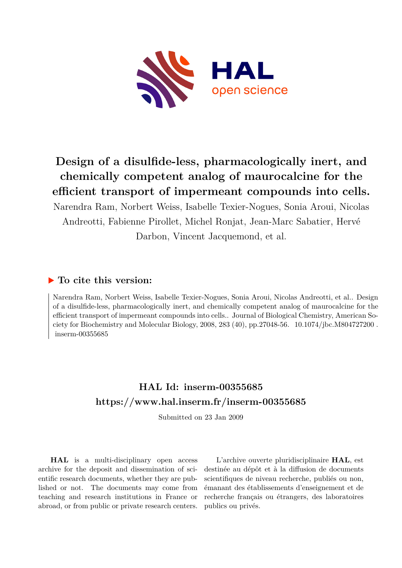

# **Design of a disulfide-less, pharmacologically inert, and chemically competent analog of maurocalcine for the efficient transport of impermeant compounds into cells.**

Narendra Ram, Norbert Weiss, Isabelle Texier-Nogues, Sonia Aroui, Nicolas Andreotti, Fabienne Pirollet, Michel Ronjat, Jean-Marc Sabatier, Hervé Darbon, Vincent Jacquemond, et al.

## **To cite this version:**

Narendra Ram, Norbert Weiss, Isabelle Texier-Nogues, Sonia Aroui, Nicolas Andreotti, et al.. Design of a disulfide-less, pharmacologically inert, and chemically competent analog of maurocalcine for the efficient transport of impermeant compounds into cells.. Journal of Biological Chemistry, American Society for Biochemistry and Molecular Biology, 2008, 283 (40), pp.27048-56. 10.1074/jbc.M804727200.  $inserm-00355685$ 

## **HAL Id: inserm-00355685 <https://www.hal.inserm.fr/inserm-00355685>**

Submitted on 23 Jan 2009

**HAL** is a multi-disciplinary open access archive for the deposit and dissemination of scientific research documents, whether they are published or not. The documents may come from teaching and research institutions in France or abroad, or from public or private research centers.

L'archive ouverte pluridisciplinaire **HAL**, est destinée au dépôt et à la diffusion de documents scientifiques de niveau recherche, publiés ou non, émanant des établissements d'enseignement et de recherche français ou étrangers, des laboratoires publics ou privés.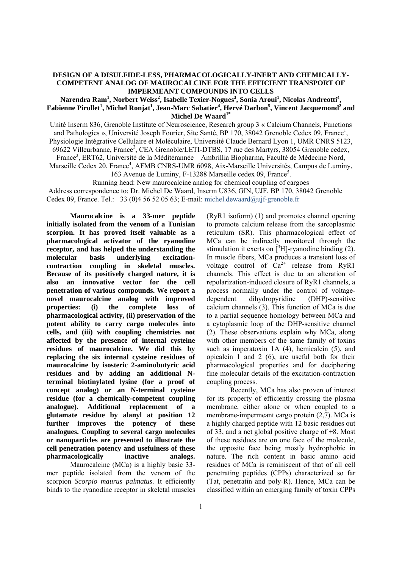#### **DESIGN OF A DISULFIDE-LESS, PHARMACOLOGICALLY-INERT AND CHEMICALLY-COMPETENT ANALOG OF MAUROCALCINE FOR THE EFFICIENT TRANSPORT OF IMPERMEANT COMPOUNDS INTO CELLS**

#### $N$ arendra Ram $^1$ , Norbert Weiss $^2$ , Isabelle Texier-Nogues $^3$ , Sonia Aroui $^1$ , Nicolas Andreotti $^4$ ,  $\bf{F}$ abienne Pirollet<sup>1</sup>, Michel Ronjat<sup>1</sup>, Jean-Marc Sabatier<sup>4</sup>, Hervé Darbon<sup>5</sup>, Vincent Jacquemond<sup>2</sup> and **Michel De Waard1\***

Unité Inserm 836, Grenoble Institute of Neuroscience, Research group 3 « Calcium Channels, Functions and Pathologies », Université Joseph Fourier, Site Santé, BP 170, 38042 Grenoble Cedex 09, France<sup>1</sup>, Physiologie Intégrative Cellulaire et Moléculaire, Université Claude Bernard Lyon 1, UMR CNRS 5123, 69622 Villeurbanne, France<sup>2</sup>, CEA Grenoble/LETI-DTBS, 17 rue des Martyrs, 38054 Grenoble cedex, France<sup>3</sup>, ERT62, Université de la Méditérannée – Ambrillia Biopharma, Faculté de Médecine Nord, Marseille Cedex 20, France<sup>4</sup>, AFMB CNRS-UMR 6098, Aix-Marseille Universités, Campus de Luminy, 163 Avenue de Luminy, F-13288 Marseille cedex 09, France<sup>5</sup>. Running head: New maurocalcine analog for chemical coupling of cargoes

 Address correspondence to: Dr. Michel De Waard, Inserm U836, GIN, UJF, BP 170, 38042 Grenoble Cedex 09, France. Tel.: +33 (0)4 56 52 05 63; E-mail: michel.dewaard@ujf-grenoble.fr

**Maurocalcine is a 33-mer peptide initially isolated from the venom of a Tunisian scorpion. It has proved itself valuable as a pharmacological activator of the ryanodine receptor, and has helped the understanding the molecular basis underlying excitationcontraction coupling in skeletal muscles. Because of its positively charged nature, it is also an innovative vector for the cell penetration of various compounds. We report a novel maurocalcine analog with improved properties: (i) the complete loss of pharmacological activity, (ii) preservation of the potent ability to carry cargo molecules into cells, and (iii) with coupling chemistries not affected by the presence of internal cysteine residues of maurocalcine. We did this by replacing the six internal cysteine residues of maurocalcine by isosteric 2-aminobutyric acid residues and by adding an additional Nterminal biotinylated lysine (for a proof of concept analog) or an N-terminal cysteine residue (for a chemically-competent coupling analogue). Additional replacement of a glutamate residue by alanyl at position 12 further improves the potency of these analogues. Coupling to several cargo molecules or nanoparticles are presented to illustrate the cell penetration potency and usefulness of these pharmacologically inactive analogs.** 

Maurocalcine (MCa) is a highly basic 33 mer peptide isolated from the venom of the scorpion *Scorpio maurus palmatus*. It efficiently binds to the ryanodine receptor in skeletal muscles (RyR1 isoform) (1) and promotes channel opening to promote calcium release from the sarcoplasmic reticulum (SR). This pharmacological effect of MCa can be indirectly monitored through the stimulation it exerts on  $\tilde{[}^3H]$ -ryanodine binding (2). In muscle fibers, MCa produces a transient loss of voltage control of  $Ca^{2+}$  release from RyR1 channels. This effect is due to an alteration of repolarization-induced closure of RyR1 channels, a process normally under the control of voltagedependent dihydropyridine (DHP)-sensitive calcium channels (3). This function of MCa is due to a partial sequence homology between MCa and a cytoplasmic loop of the DHP-sensitive channel (2). These observations explain why MCa, along with other members of the same family of toxins such as imperatoxin 1A (4), hemicalcin (5), and opicalcin 1 and 2 (6), are useful both for their pharmacological properties and for deciphering fine molecular details of the excitation-contraction coupling process.

Recently, MCa has also proven of interest for its property of efficiently crossing the plasma membrane, either alone or when coupled to a membrane-impermeant cargo protein (2,7). MCa is a highly charged peptide with 12 basic residues out of 33, and a net global positive charge of +8. Most of these residues are on one face of the molecule, the opposite face being mostly hydrophobic in nature. The rich content in basic amino acid residues of MCa is reminiscent of that of all cell penetrating peptides (CPPs) characterized so far (Tat, penetratin and poly-R). Hence, MCa can be classified within an emerging family of toxin CPPs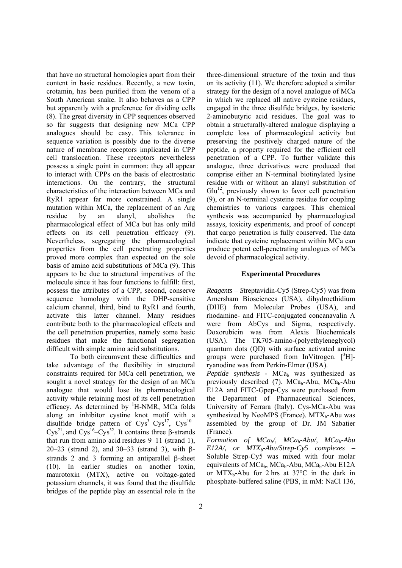that have no structural homologies apart from their content in basic residues. Recently, a new toxin, crotamin, has been purified from the venom of a South American snake. It also behaves as a CPP but apparently with a preference for dividing cells (8). The great diversity in CPP sequences observed so far suggests that designing new MCa CPP analogues should be easy. This tolerance in sequence variation is possibly due to the diverse nature of membrane receptors implicated in CPP cell translocation. These receptors nevertheless possess a single point in common: they all appear to interact with CPPs on the basis of electrostatic interactions. On the contrary, the structural characteristics of the interaction between MCa and RyR1 appear far more constrained. A single mutation within MCa, the replacement of an Arg residue by an alanyl, abolishes the pharmacological effect of MCa but has only mild effects on its cell penetration efficacy (9). Nevertheless, segregating the pharmacological properties from the cell penetrating properties proved more complex than expected on the sole basis of amino acid substitutions of MCa (9). This appears to be due to structural imperatives of the molecule since it has four functions to fulfill: first, possess the attributes of a CPP, second, conserve sequence homology with the DHP-sensitive calcium channel, third, bind to RyR1 and fourth, activate this latter channel. Many residues contribute both to the pharmacological effects and the cell penetration properties, namely some basic residues that make the functional segregation difficult with simple amino acid substitutions.

 To both circumvent these difficulties and take advantage of the flexibility in structural constraints required for MCa cell penetration, we sought a novel strategy for the design of an MCa analogue that would lose its pharmacological activity while retaining most of its cell penetration efficacy. As determined by <sup>1</sup>H-NMR, MCa folds along an inhibitor cystine knot motif with a disulfide bridge pattern of  $Cys<sup>3</sup>-Cys<sup>17</sup>$ ,  $Cys<sup>10</sup>-$ Cys<sup>21</sup>, and Cys<sup>16</sup>–Cys<sup>32</sup>. It contains three β-strands that run from amino acid residues 9–11 (strand 1), 20–23 (strand 2), and 30–33 (strand 3), with βstrands 2 and 3 forming an antiparallel β-sheet (10). In earlier studies on another toxin, maurotoxin (MTX), active on voltage-gated potassium channels, it was found that the disulfide bridges of the peptide play an essential role in the

three-dimensional structure of the toxin and thus on its activity (11). We therefore adopted a similar strategy for the design of a novel analogue of MCa in which we replaced all native cysteine residues, engaged in the three disulfide bridges, by isosteric 2-aminobutyric acid residues. The goal was to obtain a structurally-altered analogue displaying a complete loss of pharmacological activity but preserving the positively charged nature of the peptide, a property required for the efficient cell penetration of a CPP. To further validate this analogue, three derivatives were produced that comprise either an N-terminal biotinylated lysine residue with or without an alanyl substitution of  $Glu<sup>12</sup>$ , previously shown to favor cell penetration (9), or an N-terminal cysteine residue for coupling chemistries to various cargoes. This chemical synthesis was accompanied by pharmacological assays, toxicity experiments, and proof of concept that cargo penetration is fully conserved. The data indicate that cysteine replacement within MCa can produce potent cell-penetrating analogues of MCa devoid of pharmacological activity.

#### **Experimental Procedures**

*Reagents – S*treptavidin-Cy5 (Strep-Cy5) was from Amersham Biosciences (USA), dihydroethidium (DHE) from Molecular Probes (USA), and rhodamine- and FITC-conjugated concanavalin A were from AbCys and Sigma, respectively. Doxorubicin was from Alexis Biochemicals (USA). The TK705-amino-(polyethyleneglycol) quantum dots (QD) with surface activated amine groups were purchased from InVitrogen.  $[{}^{3}H]$ ryanodine was from Perkin-Elmer (USA).

*Peptide synthesis -* MCa<sub>b</sub> was synthesized as previously described (7).  $MCa_b-Abu$ ,  $MCa_b-Abu$ E12A and FITC-Gpep-Cys were purchased from the Department of Pharmaceutical Sciences, University of Ferrara (Italy). Cys-MCa-Abu was synthesized by NeoMPS (France).  $MTX_b$ -Abu was assembled by the group of Dr. JM Sabatier (France).

*Formation of MCa<sub>b</sub>/, MCa<sub>b</sub>-Abu/, MCa<sub>b</sub>-Abu E12A/, or MTXb-Abu/Strep*-*Cy5 complexes –* Soluble Strep-Cy5 was mixed with four molar equivalents of  $MCa_b$ ,  $MCa_b$ -Abu,  $MCa_b$ -Abu E12A or  $MTX_b$ -Abu for 2 hrs at 37 $\degree$ C in the dark in phosphate-buffered saline (PBS, in mM: NaCl 136,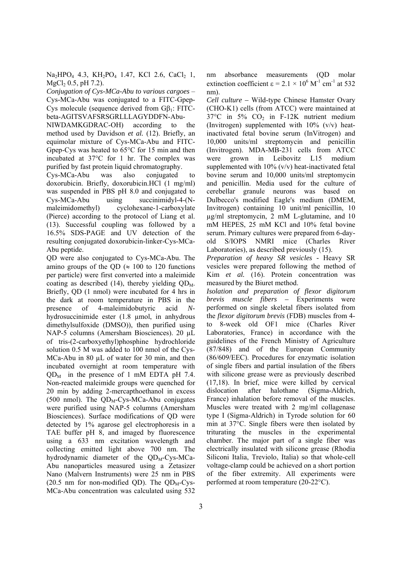$Na<sub>2</sub>HPO<sub>4</sub>$  4.3,  $KH<sub>2</sub>PO<sub>4</sub>$  1.47, KCl 2.6, CaCl<sub>2</sub> 1,  $MgCl<sub>2</sub> 0.5, pH 7.2$ .

*Conjugation of Cys-MCa-Abu to various cargoes* – Cys-MCa-Abu was conjugated to a FITC-Gpep-Cys molecule (sequence derived from  $G\beta_1$ : FITCbeta-AGITSVAFSRSGRLLLAGYDDFN-Abu-

NIWDAMKGDRAC-OH) according to the method used by Davidson *et al.* (12). Briefly, an equimolar mixture of Cys-MCa-Abu and FITC-Gpep-Cys was heated to 65°C for 15 min and then incubated at 37°C for 1 hr. The complex was purified by fast protein liquid chromatography.

Cys-MCa-Abu was also conjugated to doxorubicin. Briefly, doxorubicin.HCl (1 mg/ml) was suspended in PBS pH 8.0 and conjugated to Cys-MCa-Abu using succinimidyl-4-(Nmaleimidomethyl) cyclohexane-1-carboxylate (Pierce) according to the protocol of Liang et al. (13). Successful coupling was followed by a 16.5% SDS-PAGE and UV detection of the resulting conjugated doxorubicin-linker-Cys-MCa-Abu peptide.

QD were also conjugated to Cys-MCa-Abu. The amino groups of the OD ( $\approx$  100 to 120 functions per particle) were first converted into a maleimide coating as described (14), thereby yielding  $QD<sub>M</sub>$ . Briefly, QD (1 nmol) were incubated for 4 hrs in the dark at room temperature in PBS in the presence of 4-maleimidobutyric acid *N*hydrosuccinimide ester (1.8 µmol, in anhydrous dimethylsulfoxide (DMSO)), then purified using NAP-5 columns (Amersham Biosciences). 20 µL of tris-(2-carboxyethyl)phosphine hydrochloride solution 0.5 M was added to 100 nmol of the Cys-MCa-Abu in 80  $\mu$ L of water for 30 min, and then incubated overnight at room temperature with  $OD<sub>M</sub>$  in the presence of 1 mM EDTA pH 7.4. Non-reacted maleimide groups were quenched for 20 min by adding 2-mercapthoethanol in excess (500 nmol). The  $QD<sub>M</sub>$ -Cys-MCa-Abu conjugates were purified using NAP-5 columns (Amersham Biosciences). Surface modifications of QD were detected by 1% agarose gel electrophoresis in a TAE buffer pH 8, and imaged by fluorescence using a 633 nm excitation wavelength and collecting emitted light above 700 nm. The hydrodynamic diameter of the  $QD<sub>M</sub>$ -Cys-MCa-Abu nanoparticles measured using a Zetasizer Nano (Malvern Instruments) were 25 nm in PBS (20.5 nm for non-modified QD). The  $QD<sub>M</sub>$ -Cys-MCa-Abu concentration was calculated using 532

nm absorbance measurements (QD molar extinction coefficient  $\epsilon = 2.1 \times 10^6$  M<sup>-1</sup> cm<sup>-1</sup> at 532 nm).

*Cell culture –* Wild-type Chinese Hamster Ovary (CHO-K1) cells (from ATCC) were maintained at  $37^{\circ}$ C in  $5\%$  CO<sub>2</sub> in F-12K nutrient medium (Invitrogen) supplemented with  $10\%$  (v/v) heatinactivated fetal bovine serum (InVitrogen) and 10,000 units/ml streptomycin and penicillin (Invitrogen). MDA-MB-231 cells from ATCC were grown in Leibovitz L15 medium supplemented with  $10\%$  (v/v) heat-inactivated fetal bovine serum and 10,000 units/ml streptomycin and penicillin. Media used for the culture of cerebellar granule neurons was based on Dulbecco's modified Eagle's medium (DMEM, Invitrogen) containing 10 unit/ml penicillin, 10 µg/ml streptomycin, 2 mM L-glutamine, and 10 mM HEPES, 25 mM KCl and 10% fetal bovine serum. Primary cultures were prepared from 6-dayold S/IOPS NMRI mice (Charles River Laboratories), as described previously (15).

*Preparation of heavy SR vesicles -* Heavy SR vesicles were prepared following the method of Kim *et al.* (16). Protein concentration was measured by the Biuret method.

*Isolation and preparation of flexor digitorum brevis muscle fibers –* Experiments were performed on single skeletal fibers isolated from the *flexor digitorum brevis* (FDB) muscles from 4 to 8-week old OF1 mice (Charles River Laboratories, France) in accordance with the guidelines of the French Ministry of Agriculture (87/848) and of the European Community (86/609/EEC). Procedures for enzymatic isolation of single fibers and partial insulation of the fibers with silicone grease were as previously described (17,18). In brief, mice were killed by cervical dislocation after halothane (Sigma-Aldrich, France) inhalation before removal of the muscles. Muscles were treated with 2 mg/ml collagenase type I (Sigma-Aldrich) in Tyrode solution for 60 min at 37°C. Single fibers were then isolated by triturating the muscles in the experimental chamber. The major part of a single fiber was electrically insulated with silicone grease (Rhodia Siliconi Italia, Treviolo, Italia) so that whole-cell voltage-clamp could be achieved on a short portion of the fiber extremity. All experiments were performed at room temperature (20-22°C).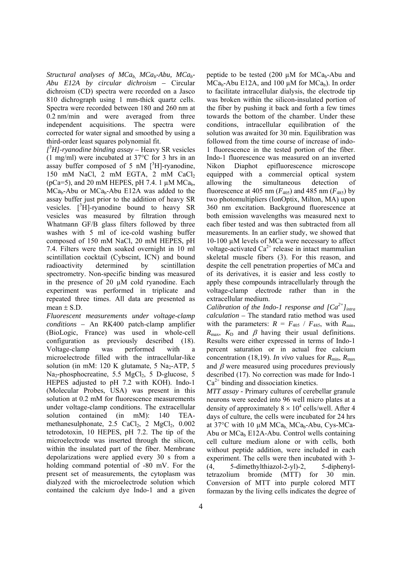Structural analyses of MCa<sub>b</sub>, MCa<sub>b</sub>-Abu, MCa<sub>b</sub>-*Abu E12A by circular dichroism –* Circular dichroism (CD) spectra were recorded on a Jasco 810 dichrograph using 1 mm-thick quartz cells. Spectra were recorded between 180 and 260 nm at 0.2 nm/min and were averaged from three independent acquisitions. The spectra were corrected for water signal and smoothed by using a third-order least squares polynomial fit.

*[ 3 H]-ryanodine binding assay –* Heavy SR vesicles (1 mg/ml) were incubated at 37°C for 3 hrs in an assay buffer composed of 5 nM  $[^{3}H]$ -ryanodine, 150 mM NaCl, 2 mM EGTA, 2 mM CaCl<sub>2</sub> ( $pCa=5$ ), and 20 mM HEPES,  $pH$  7.4. 1  $\mu$ M MCa<sub>b</sub>, MCa<sub>b</sub>-Abu or MCa<sub>b</sub>-Abu E12A was added to the assay buffer just prior to the addition of heavy SR vesicles.  $[{}^{3}H]$ -ryanodine bound to heavy SR vesicles was measured by filtration through Whatmann GF/B glass filters followed by three washes with 5 ml of ice-cold washing buffer composed of 150 mM NaCl, 20 mM HEPES, pH 7.4. Filters were then soaked overnight in 10 ml scintillation cocktail (Cybscint, ICN) and bound radioactivity determined by scintillation spectrometry. Non-specific binding was measured in the presence of 20 µM cold ryanodine. Each experiment was performed in triplicate and repeated three times. All data are presented as mean  $\pm$  S.D.

*Fluorescent measurements under voltage-clamp conditions –* An RK400 patch-clamp amplifier (BioLogic, France) was used in whole-cell configuration as previously described (18). Voltage-clamp was performed with a microelectrode filled with the intracellular-like solution (in mM:  $120$  K glutamate, 5 Na<sub>2</sub>-ATP, 5  $Na<sub>2</sub>-phosphocreatine, 5.5 MgCl<sub>2</sub>, 5 D-glucose, 5$ HEPES adjusted to pH 7.2 with KOH). Indo-1 (Molecular Probes, USA) was present in this solution at 0.2 mM for fluorescence measurements under voltage-clamp conditions. The extracellular solution contained (in mM): 140 TEAmethanesulphonate,  $2.5 \text{ CaCl}_2$ ,  $2 \text{ MgCl}_2$ ,  $0.002$ tetrodotoxin, 10 HEPES, pH 7.2. The tip of the microelectrode was inserted through the silicon, within the insulated part of the fiber. Membrane depolarizations were applied every 30 s from a holding command potential of -80 mV. For the present set of measurements, the cytoplasm was dialyzed with the microelectrode solution which contained the calcium dye Indo-1 and a given

peptide to be tested (200  $\mu$ M for MCa<sub>b</sub>-Abu and  $MCa_b$ -Abu E12A, and 100 µM for  $MCa_b$ ). In order to facilitate intracellular dialysis, the electrode tip was broken within the silicon-insulated portion of the fiber by pushing it back and forth a few times towards the bottom of the chamber. Under these conditions, intracellular equilibration of the solution was awaited for 30 min. Equilibration was followed from the time course of increase of indo-1 fluorescence in the tested portion of the fiber. Indo-1 fluorescence was measured on an inverted Nikon Diaphot epifluorescence microscope equipped with a commercial optical system allowing the simultaneous detection of fluorescence at 405 nm  $(F_{405})$  and 485 nm  $(F_{485})$  by two photomultipliers (IonOptix, Milton, MA) upon 360 nm excitation. Background fluorescence at both emission wavelengths was measured next to each fiber tested and was then subtracted from all measurements. In an earlier study, we showed that 10-100 µM levels of MCa were necessary to affect voltage-activated  $Ca^{2+}$  release in intact mammalian skeletal muscle fibers (3). For this reason, and despite the cell penetration properties of MCa and of its derivatives, it is easier and less costly to apply these compounds intracellularly through the voltage-clamp electrode rather than in the extracellular medium.

*Calibration of the Indo-1 response and*  $[Ca^{2+}]_{intra}$ *calculation –* The standard ratio method was used with the parameters:  $R = F_{405} / F_{485}$ , with  $R_{min}$ ,  $R_{\text{max}}$ ,  $K_D$  and  $\beta$  having their usual definitions. Results were either expressed in terms of Indo-1 percent saturation or in actual free calcium concentration (18,19). *In vivo* values for  $R_{\text{min}}$ ,  $R_{\text{max}}$ and  $\beta$  were measured using procedures previously described (17). No correction was made for Indo-1  $Ca<sup>2+</sup>$  binding and dissociation kinetics.

*MTT assay -* Primary cultures of cerebellar granule neurons were seeded into 96 well micro plates at a density of approximately  $8 \times 10^4$  cells/well. After 4 days of culture, the cells were incubated for 24 hrs at  $37^{\circ}$ C with 10 µM MCa<sub>b</sub>, MCa<sub>b</sub>-Abu, Cys-MCa-Abu or  $MCa_b E12A-Abu$ . Control wells containing cell culture medium alone or with cells, both without peptide addition, were included in each experiment. The cells were then incubated with 3- (4, 5-dimethylthiazol-2-yl)-2, 5-diphenyltetrazolium bromide (MTT) for 30 min. Conversion of MTT into purple colored MTT formazan by the living cells indicates the degree of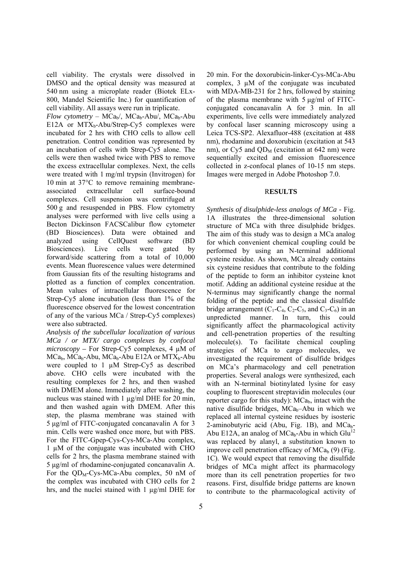cell viability. The crystals were dissolved in DMSO and the optical density was measured at 540 nm using a microplate reader (Biotek ELx-800, Mandel Scientific Inc.) for quantification of cell viability. All assays were run in triplicate.

*Flow cytometry* – MCa<sub>b</sub>/, MCa<sub>b</sub>-Abu/, MCa<sub>b</sub>-Abu E12A or  $MTX_b$ -Abu/Strep-Cy5 complexes were incubated for 2 hrs with CHO cells to allow cell penetration. Control condition was represented by an incubation of cells with Strep-Cy5 alone. The cells were then washed twice with PBS to remove the excess extracellular complexes. Next, the cells were treated with 1 mg/ml trypsin (Invitrogen) for 10 min at 37°C to remove remaining membraneassociated extracellular cell surface-bound complexes. Cell suspension was centrifuged at 500 g and resuspended in PBS. Flow cytometry analyses were performed with live cells using a Becton Dickinson FACSCalibur flow cytometer (BD Biosciences). Data were obtained and analyzed using CellQuest software (BD Biosciences). Live cells were gated by forward/side scattering from a total of 10,000 events. Mean fluorescence values were determined from Gaussian fits of the resulting histograms and plotted as a function of complex concentration. Mean values of intracellular fluorescence for Strep-Cy5 alone incubation (less than 1% of the fluorescence observed for the lowest concentration of any of the various MCa / Strep-Cy5 complexes) were also subtracted.

*Analysis of the subcellular localization of various MCa / or MTX/ cargo complexes by confocal microscopy –* For Strep-Cy5 complexes, 4 µM of  $MCa_h$ ,  $MCa_h$ -Abu,  $MCa_h$ -Abu E12A or  $MTX_h$ -Abu were coupled to 1  $\mu$ M Strep-Cy5 as described above. CHO cells were incubated with the resulting complexes for 2 hrs, and then washed with DMEM alone. Immediately after washing, the nucleus was stained with 1 μg/ml DHE for 20 min, and then washed again with DMEM. After this step, the plasma membrane was stained with 5 μg/ml of FITC-conjugated concanavalin A for 3 min. Cells were washed once more, but with PBS. For the FITC-Gpep-Cys-Cys-MCa-Abu complex, 1 µM of the conjugate was incubated with CHO cells for 2 hrs, the plasma membrane stained with 5 μg/ml of rhodamine-conjugated concanavalin A. For the  $QD<sub>M</sub>$ -Cys-MCa-Abu complex, 50 nM of the complex was incubated with CHO cells for 2 hrs, and the nuclei stained with 1 µg/ml DHE for

20 min. For the doxorubicin-linker-Cys-MCa-Abu complex, 3 µM of the conjugate was incubated with MDA-MB-231 for 2 hrs, followed by staining of the plasma membrane with 5 μg/ml of FITCconjugated concanavalin A for 3 min. In all experiments, live cells were immediately analyzed by confocal laser scanning microscopy using a Leica TCS-SP2. Alexafluor-488 (excitation at 488 nm), rhodamine and doxorubicin (excitation at 543 nm), or Cy5 and  $QD<sub>M</sub>$  (excitation at 642 nm) were sequentially excited and emission fluorescence collected in z-confocal planes of 10-15 nm steps. Images were merged in Adobe Photoshop 7.0.

#### R**ESULTS**

*Synthesis of disulphide-less analogs of MCa -* Fig. 1A illustrates the three-dimensional solution structure of MCa with three disulphide bridges. The aim of this study was to design a MCa analog for which convenient chemical coupling could be performed by using an N-terminal additional cysteine residue. As shown, MCa already contains six cysteine residues that contribute to the folding of the peptide to form an inhibitor cysteine knot motif. Adding an additional cysteine residue at the N-terminus may significantly change the normal folding of the peptide and the classical disulfide bridge arrangement  $(C_1-C_4, C_2-C_5,$  and  $C_3-C_6$ ) in an unpredicted manner. In turn, this could significantly affect the pharmacological activity and cell-penetration properties of the resulting molecule(s). To facilitate chemical coupling strategies of MCa to cargo molecules, we investigated the requirement of disulfide bridges on MCa's pharmacology and cell penetration properties. Several analogs were synthesized, each with an N-terminal biotinylated lysine for easy coupling to fluorescent streptavidin molecules (our reporter cargo for this study):  $MCa_b$ , intact with the native disulfide bridges,  $MCa_b$ –Abu in which we replaced all internal cysteine residues by isosteric 2-aminobutyric acid (Abu, Fig. 1B), and  $MCa_b$ -Abu E12A, an analog of  $MCa_b$ -Abu in which Glu<sup>12</sup> was replaced by alanyl, a substitution known to improve cell penetration efficacy of  $MCa<sub>b</sub>$  (9) (Fig. 1C). We would expect that removing the disulfide bridges of MCa might affect its pharmacology more than its cell penetration properties for two reasons. First, disulfide bridge patterns are known to contribute to the pharmacological activity of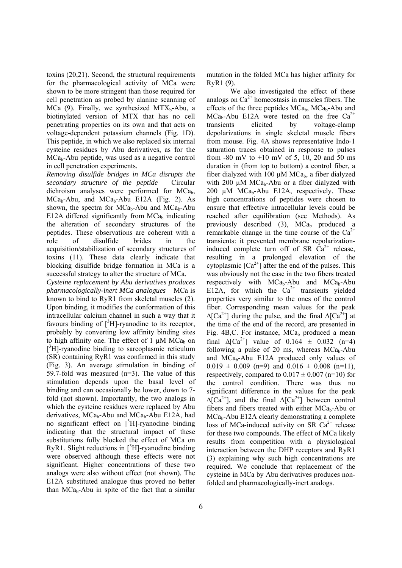toxins (20,21). Second, the structural requirements for the pharmacological activity of MCa were shown to be more stringent than those required for cell penetration as probed by alanine scanning of MCa  $(9)$ . Finally, we synthesized MTX<sub>b</sub>-Abu, a biotinylated version of MTX that has no cell penetrating properties on its own and that acts on voltage-dependent potassium channels (Fig. 1D). This peptide, in which we also replaced six internal cysteine residues by Abu derivatives, as for the  $MCa<sub>b</sub>-Abu$  peptide, was used as a negative control in cell penetration experiments.

*Removing disulfide bridges in MCa disrupts the secondary structure of the peptide* – Circular dichroism analyses were performed for MCa<sub>b</sub>,  $MCa_b-Abu$ , and  $MCa_b-Abu$  E12A (Fig. 2). As shown, the spectra for  $MCa_b$ -Abu and  $MCa_b$ -Abu E12A differed significantly from  $MCa<sub>b</sub>$  indicating the alteration of secondary structures of the peptides. These observations are coherent with a role of disulfide brides in the acquisition/stabilization of secondary structures of toxins (11). These data clearly indicate that blocking disulfide bridge formation in MCa is a successful strategy to alter the structure of MCa.

*Cysteine replacement by Abu derivatives produces pharmacologically-inert MCa analogues* – MCa is known to bind to RyR1 from skeletal muscles (2). Upon binding, it modifies the conformation of this intracellular calcium channel in such a way that it favours binding of  $[{}^{3}H]$ -ryanodine to its receptor, probably by converting low affinity binding sites to high affinity one. The effect of 1  $\mu$ M MCa<sub>b</sub> on [<sup>3</sup>H]-ryanodine binding to sarcoplasmic reticulum (SR) containing RyR1 was confirmed in this study (Fig. 3). An average stimulation in binding of 59.7-fold was measured  $(n=3)$ . The value of this stimulation depends upon the basal level of binding and can occasionally be lower, down to 7 fold (not shown). Importantly, the two analogs in which the cysteine residues were replaced by Abu derivatives,  $MCa_b$ -Abu and  $MCa_b$ -Abu E12A, had no significant effect on  $[3H]$ -ryanodine binding indicating that the structural impact of these substitutions fully blocked the effect of MCa on RyR1. Slight reductions in  $[^{3}H]$ -ryanodine binding were observed although these effects were not significant. Higher concentrations of these two analogs were also without effect (not shown). The E12A substituted analogue thus proved no better than  $MCa_b$ -Abu in spite of the fact that a similar

mutation in the folded MCa has higher affinity for RyR1 (9).

We also investigated the effect of these analogs on  $Ca<sup>2+</sup>$  homeostasis in muscles fibers. The effects of the three peptides  $MCa_h$ ,  $MCa_h$ -Abu and  $MCa_b-Abu$  E12A were tested on the free  $Ca^{2+}$ transients elicited by voltage-clamp depolarizations in single skeletal muscle fibers from mouse. Fig. 4A shows representative Indo-1 saturation traces obtained in response to pulses from  $-80$  mV to  $+10$  mV of 5, 10, 20 and 50 ms duration in (from top to bottom) a control fiber, a fiber dialyzed with 100  $\mu$ M MCa<sub>b</sub>, a fiber dialyzed with 200  $\mu$ M MCa<sub>b</sub>-Abu or a fiber dialyzed with  $200 \text{ u}$ M MCa<sub>b</sub>-Abu E12A, respectively. These high concentrations of peptides were chosen to ensure that effective intracellular levels could be reached after equilibration (see Methods). As previously described  $(3)$ , MCa<sub>b</sub> produced a remarkable change in the time course of the  $Ca^{2+}$ transients: it prevented membrane repolarizationinduced complete turn off of SR  $\bar{Ca}^{2+}$  release, resulting in a prolonged elevation of the cytoplasmic  $[Ca^{2+}]$  after the end of the pulses. This was obviously not the case in the two fibers treated respectively with  $MCa_b-Abu$  and  $MCa_b-Abu$ E12A, for which the  $Ca^{2+}$  transients yielded properties very similar to the ones of the control fiber. Corresponding mean values for the peak  $Δ[Ca<sup>2+</sup>]$  during the pulse, and the final  $Δ[Ca<sup>2+</sup>]$  at the time of the end of the record, are presented in Fig. 4B, C. For instance,  $MCa<sub>b</sub>$  produced a mean final  $\Delta [Ca^{2+}]$  value of 0.164  $\pm$  0.032 (n=4) following a pulse of 20 ms, whereas  $MCa_b-Abu$ and  $MCa_b-Abu$  E12A produced only values of  $0.019 \pm 0.009$  (n=9) and  $0.016 \pm 0.008$  (n=11), respectively, compared to  $0.017 \pm 0.007$  (n=10) for the control condition. There was thus no significant difference in the values for the peak  $\Delta [Ca^{2+}]$ , and the final  $\Delta [Ca^{2+}]$  between control fibers and fibers treated with either  $MCa_b$ -Abu or MCa<sub>b</sub>-Abu E12A clearly demonstrating a complete loss of MCa-induced activity on SR  $Ca<sup>2+</sup>$  release for these two compounds. The effect of MCa likely results from competition with a physiological interaction between the DHP receptors and RyR1 (3) explaining why such high concentrations are required. We conclude that replacement of the cysteine in MCa by Abu derivatives produces nonfolded and pharmacologically-inert analogs.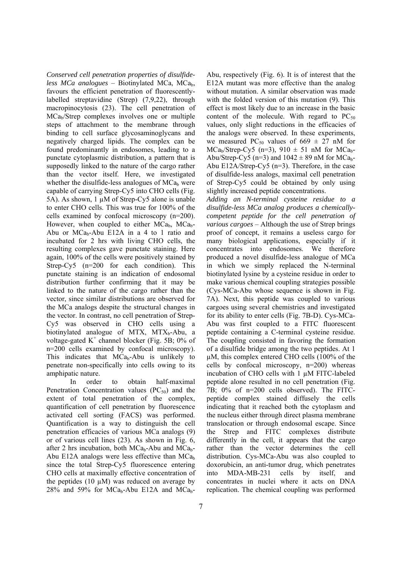*Conserved cell penetration properties of disulfideless MCa analogues* – Biotinylated MCa, MCa<sub>b</sub>, favours the efficient penetration of fluorescentlylabelled streptavidine (Strep) (7,9,22), through macropinocytosis (23). The cell penetration of MCab/Strep complexes involves one or multiple steps of attachment to the membrane through binding to cell surface glycosaminoglycans and negatively charged lipids. The complex can be found predominantly in endosomes, leading to a punctate cytoplasmic distribution, a pattern that is supposedly linked to the nature of the cargo rather than the vector itself. Here, we investigated whether the disulfide-less analogues of  $MCa<sub>b</sub>$  were capable of carrying Strep-Cy5 into CHO cells (Fig. 5A). As shown, 1 µM of Strep-Cy5 alone is unable to enter CHO cells. This was true for 100% of the cells examined by confocal microscopy (n=200). However, when coupled to either  $MCa_h$ ,  $MCa_b$ -Abu or  $MCa_b$ -Abu E12A in a 4 to 1 ratio and incubated for 2 hrs with living CHO cells, the resulting complexes gave punctate staining. Here again, 100% of the cells were positively stained by Strep-Cy5 (n=200 for each condition). This punctate staining is an indication of endosomal distribution further confirming that it may be linked to the nature of the cargo rather than the vector, since similar distributions are observed for the MCa analogs despite the structural changes in the vector. In contrast, no cell penetration of Strep-Cy5 was observed in CHO cells using a biotinylated analogue of MTX, MTX<sub>b</sub>-Abu, a voltage-gated  $K^+$  channel blocker (Fig. 5B;  $0\%$  of n=200 cells examined by confocal microscopy). This indicates that  $MCa_b$ -Abu is unlikely to penetrate non-specifically into cells owing to its amphipatic nature.

 In order to obtain half-maximal Penetration Concentration values  $(PC_{50})$  and the extent of total penetration of the complex, quantification of cell penetration by fluorescence activated cell sorting (FACS) was performed. Quantification is a way to distinguish the cell penetration efficacies of various MCa analogs (9) or of various cell lines (23). As shown in Fig. 6, after 2 hrs incubation, both  $MCa_b$ -Abu and  $MCa_b$ -Abu E12A analogs were less effective than  $MCa<sub>b</sub>$ since the total Strep-Cy5 fluorescence entering CHO cells at maximally effective concentration of the peptides (10  $\mu$ M) was reduced on average by  $28\%$  and 59% for MCa<sub>b</sub>-Abu E12A and MCa<sub>b</sub>-

Abu, respectively (Fig. 6). It is of interest that the E12A mutant was more effective than the analog without mutation. A similar observation was made with the folded version of this mutation (9). This effect is most likely due to an increase in the basic content of the molecule. With regard to  $PC_{50}$ values, only slight reductions in the efficacies of the analogs were observed. In these experiments, we measured PC<sub>50</sub> values of 669  $\pm$  27 nM for  $MCa<sub>b</sub>/Step-Cy5$  (n=3), 910  $\pm$  51 nM for MCa<sub>b</sub>-Abu/Strep-Cy5 (n=3) and  $1042 \pm 89$  nM for MCa<sub>b</sub>-Abu E12A/Strep-Cy5 (n=3). Therefore, in the case of disulfide-less analogs, maximal cell penetration of Strep-Cy5 could be obtained by only using slightly increased peptide concentrations.

*Adding an N-terminal cysteine residue to a disulfide-less MCa analog produces a chemicallycompetent peptide for the cell penetration of various cargoes* – Although the use of Strep brings proof of concept, it remains a useless cargo for many biological applications, especially if it concentrates into endosomes. We therefore produced a novel disulfide-less analogue of MCa in which we simply replaced the N-terminal biotinylated lysine by a cysteine residue in order to make various chemical coupling strategies possible (Cys-MCa-Abu whose sequence is shown in Fig. 7A). Next, this peptide was coupled to various cargoes using several chemistries and investigated for its ability to enter cells (Fig. 7B-D). Cys-MCa-Abu was first coupled to a FITC fluorescent peptide containing a C-terminal cysteine residue. The coupling consisted in favoring the formation of a disulfide bridge among the two peptides. At 1 µM, this complex entered CHO cells (100% of the cells by confocal microscopy, n=200) whereas incubation of CHO cells with 1 µM FITC-labeled peptide alone resulted in no cell penetration (Fig. 7B; 0% of n=200 cells observed). The FITCpeptide complex stained diffusely the cells indicating that it reached both the cytoplasm and the nucleus either through direct plasma membrane translocation or through endosomal escape. Since the Strep and FITC complexes distribute differently in the cell, it appears that the cargo rather than the vector determines the cell distribution. Cys-MCa-Abu was also coupled to doxorubicin, an anti-tumor drug, which penetrates into MDA-MB-231 cells by itself, and concentrates in nuclei where it acts on DNA replication. The chemical coupling was performed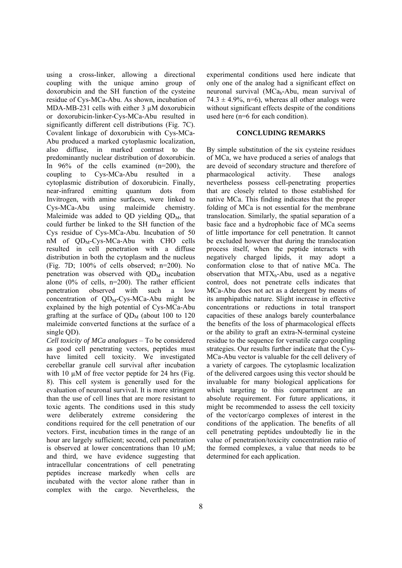using a cross-linker, allowing a directional coupling with the unique amino group of doxorubicin and the SH function of the cysteine residue of Cys-MCa-Abu. As shown, incubation of MDA-MB-231 cells with either 3 uM doxorubicin or doxorubicin-linker-Cys-MCa-Abu resulted in significantly different cell distributions (Fig. 7C). Covalent linkage of doxorubicin with Cys-MCa-Abu produced a marked cytoplasmic localization, also diffuse, in marked contrast to the predominantly nuclear distribution of doxorubicin. In 96% of the cells examined (n=200), the coupling to Cys-MCa-Abu resulted in a cytoplasmic distribution of doxorubicin. Finally, near-infrared emitting quantum dots from Invitrogen, with amine surfaces, were linked to Cys-MCa-Abu using maleimide chemistry. Maleimide was added to  $QD$  yielding  $QD<sub>M</sub>$ , that could further be linked to the SH function of the Cys residue of Cys-MCa-Abu. Incubation of 50 nM of QD<sub>M</sub>-Cys-MCa-Abu with CHO cells resulted in cell penetration with a diffuse distribution in both the cytoplasm and the nucleus (Fig. 7D; 100% of cells observed; n=200). No penetration was observed with  $OD<sub>M</sub>$  incubation alone  $(0\%$  of cells, n=200). The rather efficient penetration observed with such a low concentration of  $QD<sub>M</sub>$ -Cys-MCa-Abu might be explained by the high potential of Cys-MCa-Abu grafting at the surface of  $QD<sub>M</sub>$  (about 100 to 120 maleimide converted functions at the surface of a single OD).

*Cell toxicity of MCa analogues* – To be considered as good cell penetrating vectors, peptides must have limited cell toxicity. We investigated cerebellar granule cell survival after incubation with 10  $\mu$ M of free vector peptide for 24 hrs (Fig. 8). This cell system is generally used for the evaluation of neuronal survival. It is more stringent than the use of cell lines that are more resistant to toxic agents. The conditions used in this study were deliberately extreme considering the conditions required for the cell penetration of our vectors. First, incubation times in the range of an hour are largely sufficient; second, cell penetration is observed at lower concentrations than 10 µM; and third, we have evidence suggesting that intracellular concentrations of cell penetrating peptides increase markedly when cells are incubated with the vector alone rather than in complex with the cargo. Nevertheless, the

experimental conditions used here indicate that only one of the analog had a significant effect on neuronal survival ( $MCa_b$ -Abu, mean survival of  $74.3 \pm 4.9\%$ , n=6), whereas all other analogs were without significant effects despite of the conditions used here (n=6 for each condition).

#### **CONCLUDING REMARKS**

By simple substitution of the six cysteine residues of MCa, we have produced a series of analogs that are devoid of secondary structure and therefore of pharmacological activity. These analogs nevertheless possess cell-penetrating properties that are closely related to those established for native MCa. This finding indicates that the proper folding of MCa is not essential for the membrane translocation. Similarly, the spatial separation of a basic face and a hydrophobic face of MCa seems of little importance for cell penetration. It cannot be excluded however that during the translocation process itself, when the peptide interacts with negatively charged lipids, it may adopt a conformation close to that of native MCa. The observation that  $MTX_b$ -Abu, used as a negative control, does not penetrate cells indicates that MCa-Abu does not act as a detergent by means of its amphipathic nature. Slight increase in effective concentrations or reductions in total transport capacities of these analogs barely counterbalance the benefits of the loss of pharmacological effects or the ability to graft an extra-N-terminal cysteine residue to the sequence for versatile cargo coupling strategies. Our results further indicate that the Cys-MCa-Abu vector is valuable for the cell delivery of a variety of cargoes. The cytoplasmic localization of the delivered cargoes using this vector should be invaluable for many biological applications for which targeting to this compartment are an absolute requirement. For future applications, it might be recommended to assess the cell toxicity of the vector/cargo complexes of interest in the conditions of the application. The benefits of all cell penetrating peptides undoubtedly lie in the value of penetration/toxicity concentration ratio of the formed complexes, a value that needs to be determined for each application.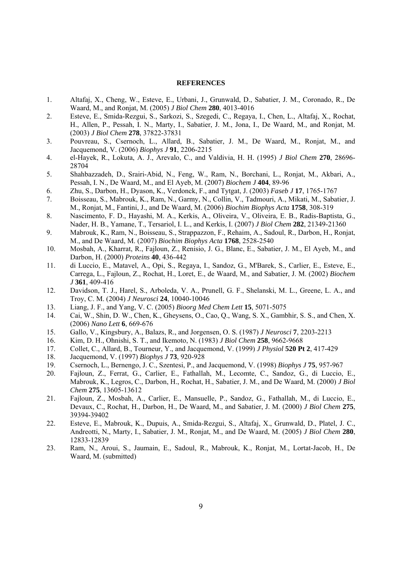#### **REFERENCES**

- 1. Altafaj, X., Cheng, W., Esteve, E., Urbani, J., Grunwald, D., Sabatier, J. M., Coronado, R., De Waard, M., and Ronjat, M. (2005) *J Biol Chem* **280**, 4013-4016
- 2. Esteve, E., Smida-Rezgui, S., Sarkozi, S., Szegedi, C., Regaya, I., Chen, L., Altafaj, X., Rochat, H., Allen, P., Pessah, I. N., Marty, I., Sabatier, J. M., Jona, I., De Waard, M., and Ronjat, M. (2003) *J Biol Chem* **278**, 37822-37831
- 3. Pouvreau, S., Csernoch, L., Allard, B., Sabatier, J. M., De Waard, M., Ronjat, M., and Jacquemond, V. (2006) *Biophys J* **91**, 2206-2215
- 4. el-Hayek, R., Lokuta, A. J., Arevalo, C., and Valdivia, H. H. (1995) *J Biol Chem* **270**, 28696- 28704
- 5. Shahbazzadeh, D., Srairi-Abid, N., Feng, W., Ram, N., Borchani, L., Ronjat, M., Akbari, A., Pessah, I. N., De Waard, M., and El Ayeb, M. (2007) *Biochem J* **404**, 89-96
- 6. Zhu, S., Darbon, H., Dyason, K., Verdonck, F., and Tytgat, J. (2003) *Faseb J* **17**, 1765-1767
- 7. Boisseau, S., Mabrouk, K., Ram, N., Garmy, N., Collin, V., Tadmouri, A., Mikati, M., Sabatier, J. M., Ronjat, M., Fantini, J., and De Waard, M. (2006) *Biochim Biophys Acta* **1758**, 308-319
- 8. Nascimento, F. D., Hayashi, M. A., Kerkis, A., Oliveira, V., Oliveira, E. B., Radis-Baptista, G., Nader, H. B., Yamane, T., Tersariol, I. L., and Kerkis, I. (2007) *J Biol Chem* **282**, 21349-21360
- 9. Mabrouk, K., Ram, N., Boisseau, S., Strappazzon, F., Rehaim, A., Sadoul, R., Darbon, H., Ronjat, M., and De Waard, M. (2007) *Biochim Biophys Acta* **1768**, 2528-2540
- 10. Mosbah, A., Kharrat, R., Fajloun, Z., Renisio, J. G., Blanc, E., Sabatier, J. M., El Ayeb, M., and Darbon, H. (2000) *Proteins* **40**, 436-442
- 11. di Luccio, E., Matavel, A., Opi, S., Regaya, I., Sandoz, G., M'Barek, S., Carlier, E., Esteve, E., Carrega, L., Fajloun, Z., Rochat, H., Loret, E., de Waard, M., and Sabatier, J. M. (2002) *Biochem J* **361**, 409-416
- 12. Davidson, T. J., Harel, S., Arboleda, V. A., Prunell, G. F., Shelanski, M. L., Greene, L. A., and Troy, C. M. (2004) *J Neurosci* **24**, 10040-10046
- 13. Liang, J. F., and Yang, V. C. (2005) *Bioorg Med Chem Lett* **15**, 5071-5075
- 14. Cai, W., Shin, D. W., Chen, K., Gheysens, O., Cao, Q., Wang, S. X., Gambhir, S. S., and Chen, X. (2006) *Nano Lett* **6**, 669-676
- 15. Gallo, V., Kingsbury, A., Balazs, R., and Jorgensen, O. S. (1987) *J Neurosci* **7**, 2203-2213
- 16. Kim, D. H., Ohnishi, S. T., and Ikemoto, N. (1983) *J Biol Chem* **258**, 9662-9668
- 17. Collet, C., Allard, B., Tourneur, Y., and Jacquemond, V. (1999) *J Physiol* **520 Pt 2**, 417-429
- 18. Jacquemond, V. (1997) *Biophys J* **73**, 920-928
- 19. Csernoch, L., Bernengo, J. C., Szentesi, P., and Jacquemond, V. (1998) *Biophys J* **75**, 957-967
- 20. Fajloun, Z., Ferrat, G., Carlier, E., Fathallah, M., Lecomte, C., Sandoz, G., di Luccio, E., Mabrouk, K., Legros, C., Darbon, H., Rochat, H., Sabatier, J. M., and De Waard, M. (2000) *J Biol Chem* **275**, 13605-13612
- 21. Fajloun, Z., Mosbah, A., Carlier, E., Mansuelle, P., Sandoz, G., Fathallah, M., di Luccio, E., Devaux, C., Rochat, H., Darbon, H., De Waard, M., and Sabatier, J. M. (2000) *J Biol Chem* **275**, 39394-39402
- 22. Esteve, E., Mabrouk, K., Dupuis, A., Smida-Rezgui, S., Altafaj, X., Grunwald, D., Platel, J. C., Andreotti, N., Marty, I., Sabatier, J. M., Ronjat, M., and De Waard, M. (2005) *J Biol Chem* **280**, 12833-12839
- 23. Ram, N., Aroui, S., Jaumain, E., Sadoul, R., Mabrouk, K., Ronjat, M., Lortat-Jacob, H., De Waard, M. (submitted)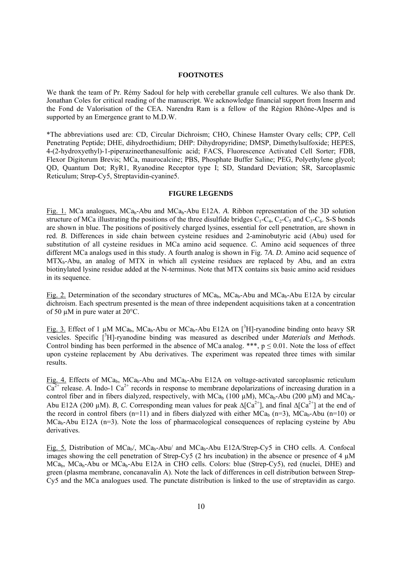#### **FOOTNOTES**

We thank the team of Pr. Rémy Sadoul for help with cerebellar granule cell cultures. We also thank Dr. Jonathan Coles for critical reading of the manuscript. We acknowledge financial support from Inserm and the Fond de Valorisation of the CEA. Narendra Ram is a fellow of the Région Rhône-Alpes and is supported by an Emergence grant to M.D.W.

\*The abbreviations used are: CD, Circular Dichroism; CHO, Chinese Hamster Ovary cells; CPP, Cell Penetrating Peptide; DHE, dihydroethidium; DHP: Dihydropyridine; DMSP, Dimethylsulfoxide; HEPES, 4-(2-hydroxyethyl)-1-piperazineethanesulfonic acid; FACS, Fluorescence Activated Cell Sorter; FDB, Flexor Digitorum Brevis; MCa, maurocalcine; PBS, Phosphate Buffer Saline; PEG, Polyethylene glycol; QD, Quantum Dot; RyR1, Ryanodine Receptor type I; SD, Standard Deviation; SR, Sarcoplasmic Reticulum; Strep-Cy5, Streptavidin-cyanine5.

#### **FIGURE LEGENDS**

Fig. 1. MCa analogues, MCa<sub>b</sub>-Abu and MCa<sub>b</sub>-Abu E12A. *A*. Ribbon representation of the 3D solution structure of MCa illustrating the positions of the three disulfide bridges  $C_1$ - $C_4$ ,  $C_2$ - $C_5$  and  $C_3$ - $C_6$ , S-S bonds are shown in blue. The positions of positively charged lysines, essential for cell penetration, are shown in red. *B*. Differences in side chain between cysteine residues and 2-aminobutyric acid (Abu) used for substitution of all cysteine residues in MCa amino acid sequence. *C*. Amino acid sequences of three different MCa analogs used in this study. A fourth analog is shown in Fig. 7*A*. *D.* Amino acid sequence of  $MTX_b-Abu$ , an analog of MTX in which all cysteine residues are replaced by Abu, and an extra biotinylated lysine residue added at the N-terminus. Note that MTX contains six basic amino acid residues in its sequence.

Fig. 2. Determination of the secondary structures of  $MCa<sub>b</sub>$ ,  $MCa<sub>b</sub>$ -Abu and  $MCa<sub>b</sub>$ -Abu E12A by circular dichroism. Each spectrum presented is the mean of three independent acquisitions taken at a concentration of 50 µM in pure water at 20°C.

Fig. 3. Effect of 1  $\mu$ M MCa<sub>b</sub>, MCa<sub>b</sub>-Abu or MCa<sub>b</sub>-Abu E12A on [<sup>3</sup>H]-ryanodine binding onto heavy SR vesicles. Specific <sup>[3</sup>H]-ryanodine binding was measured as described under *Materials and Methods*. Control binding has been performed in the absence of MCa analog. \*\*\*,  $p \le 0.01$ . Note the loss of effect upon cysteine replacement by Abu derivatives. The experiment was repeated three times with similar results.

Fig. 4. Effects of MCa<sub>b</sub>, MCa<sub>b</sub>-Abu and MCa<sub>b</sub>-Abu E12A on voltage-activated sarcoplasmic reticulum  $\overline{Ca^{2+}}$  release. *A*. Indo-1  $\overline{Ca^{2+}}$  records in response to membrane depolarizations of increasing duration in a control fiber and in fibers dialyzed, respectively, with  $MCa<sub>b</sub> (100 µ)$ ,  $MCa<sub>b</sub>-Abu (200 µ)$  and  $MCa<sub>b</sub>-$ Abu E12A (200 μM). *B, C*. Corresponding mean values for peak  $\Delta$ [Ca<sup>2+</sup>], and final  $\Delta$ [Ca<sup>2+</sup>] at the end of the record in control fibers (n=11) and in fibers dialyzed with either MCa<sub>b</sub> (n=3), MCa<sub>b</sub>-Abu (n=10) or  $MCa<sub>b</sub>$ -Abu E12A (n=3). Note the loss of pharmacological consequences of replacing cysteine by Abu derivatives.

Fig. 5. Distribution of MCa<sub>b</sub>/, MCa<sub>b</sub>-Abu/ and MCa<sub>b</sub>-Abu E12A/Strep-Cy5 in CHO cells. *A*. Confocal images showing the cell penetration of Strep-Cy5 (2 hrs incubation) in the absence or presence of 4  $\mu$ M  $MCa<sub>b</sub>$ ,  $MCa<sub>b</sub>$ -Abu or  $MCa<sub>b</sub>$ -Abu E12A in CHO cells. Colors: blue (Strep-Cy5), red (nuclei, DHE) and green (plasma membrane, concanavalin A). Note the lack of differences in cell distribution between Strep-Cy5 and the MCa analogues used. The punctate distribution is linked to the use of streptavidin as cargo.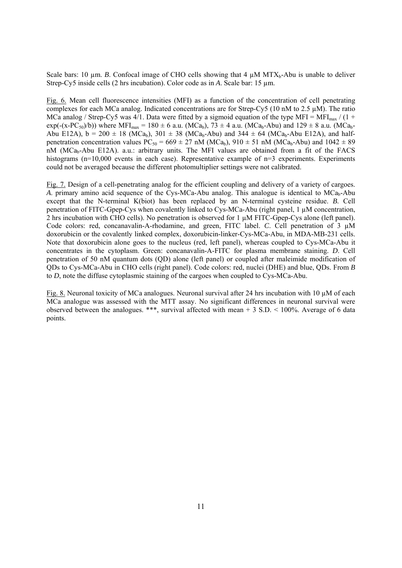Scale bars: 10  $\mu$ m. *B*. Confocal image of CHO cells showing that 4  $\mu$ M MTX<sub>b</sub>-Abu is unable to deliver Strep-Cy5 inside cells (2 hrs incubation). Color code as in *A*. Scale bar: 15 µm.

Fig. 6. Mean cell fluorescence intensities (MFI) as a function of the concentration of cell penetrating complexes for each MCa analog. Indicated concentrations are for Strep-Cy5 (10 nM to 2.5 µM). The ratio MCa analog / Strep-Cy5 was 4/1. Data were fitted by a sigmoid equation of the type MFI = MFI<sub>max</sub> / (1 +  $exp(-(x-PC_{50})/b))$  where MFI<sub>max</sub> = 180  $\pm$  6 a.u. (MCa<sub>b</sub>), 73  $\pm$  4 a.u. (MCa<sub>b</sub>-Abu) and 129  $\pm$  8 a.u. (MCa<sub>b</sub>-Abu E12A),  $b = 200 \pm 18$  (MCa<sub>b</sub>), 301  $\pm$  38 (MCa<sub>b</sub>-Abu) and 344  $\pm$  64 (MCa<sub>b</sub>-Abu E12A), and halfpenetration concentration values  $PC_{50} = 669 \pm 27$  nM (MCa<sub>b</sub>),  $910 \pm 51$  nM (MCa<sub>b</sub>-Abu) and  $1042 \pm 89$ nM (MCa<sub>b</sub>-Abu E12A). a.u.: arbitrary units. The MFI values are obtained from a fit of the FACS histograms (n=10,000 events in each case). Representative example of n=3 experiments. Experiments could not be averaged because the different photomultiplier settings were not calibrated.

Fig. 7. Design of a cell-penetrating analog for the efficient coupling and delivery of a variety of cargoes. *A*. primary amino acid sequence of the Cys-MCa-Abu analog. This analogue is identical to MCab-Abu except that the N-terminal K(biot) has been replaced by an N-terminal cysteine residue. *B*. Cell penetration of FITC-Gpep-Cys when covalently linked to Cys-MCa-Abu (right panel, 1  $\mu$ M concentration, 2 hrs incubation with CHO cells). No penetration is observed for 1 µM FITC-Gpep-Cys alone (left panel). Code colors: red, concanavalin-A-rhodamine, and green, FITC label. *C*. Cell penetration of 3 µM doxorubicin or the covalently linked complex, doxorubicin-linker-Cys-MCa-Abu, in MDA-MB-231 cells. Note that doxorubicin alone goes to the nucleus (red, left panel), whereas coupled to Cys-MCa-Abu it concentrates in the cytoplasm. Green: concanavalin-A-FITC for plasma membrane staining. *D*. Cell penetration of 50 nM quantum dots (QD) alone (left panel) or coupled after maleimide modification of QDs to Cys-MCa-Abu in CHO cells (right panel). Code colors: red, nuclei (DHE) and blue, QDs. From *B* to *D*, note the diffuse cytoplasmic staining of the cargoes when coupled to Cys-MCa-Abu.

Fig. 8. Neuronal toxicity of MCa analogues. Neuronal survival after 24 hrs incubation with 10 µM of each MCa analogue was assessed with the MTT assay. No significant differences in neuronal survival were observed between the analogues. \*\*\*, survival affected with mean + 3 S.D. < 100%. Average of 6 data points.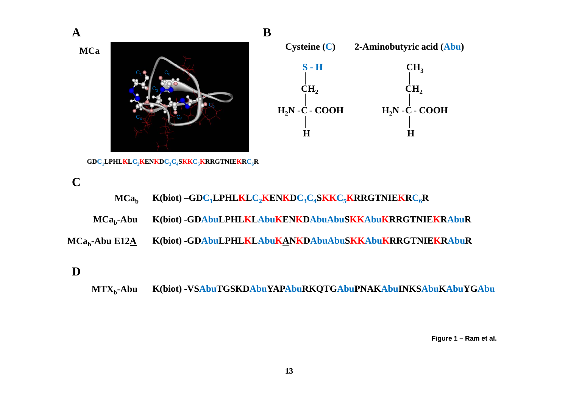

**MTXb-Abu K(biot) -VSAbuTGSKDAbuYAPAbuRKQTGAbuPNAKAbuINKSAbuKAbuYGAbu AbuVSAbuTGSKDAbuYAPAbuRKQTGAbuPNAKAbuINKSAbuKAbuYGAbu** $MTX_b$ -Abu

**Figure 1 Ram et al – al.**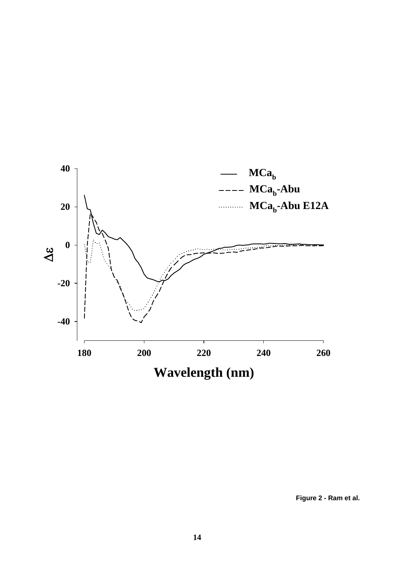

**Figure 2 - Ram et al.**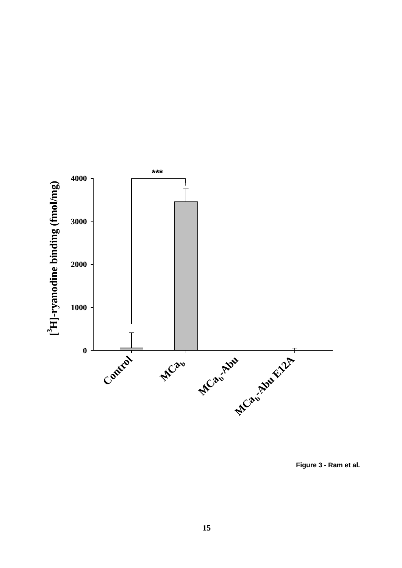

**Figure 3 - Ram et al.**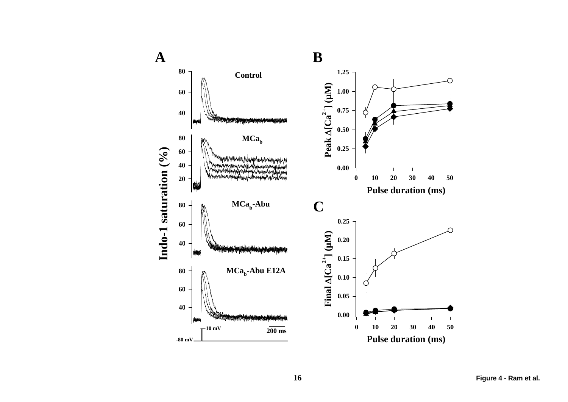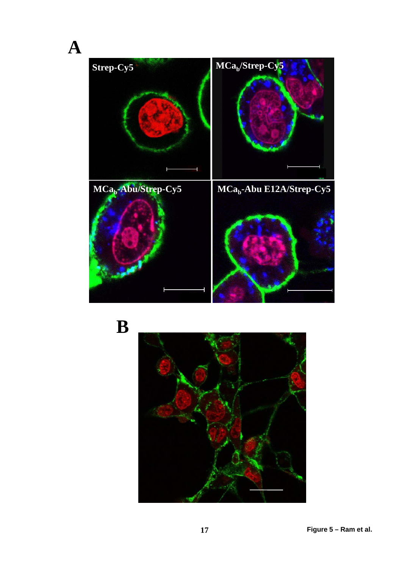Strep-Cy5 MCa<sub>b</sub>/Strep-Cy5 MCa<sub>b</sub>-Abu/Strep-Cy5 MCa<sub>b</sub>-Abu E12A/Strep-Cy5

**A**

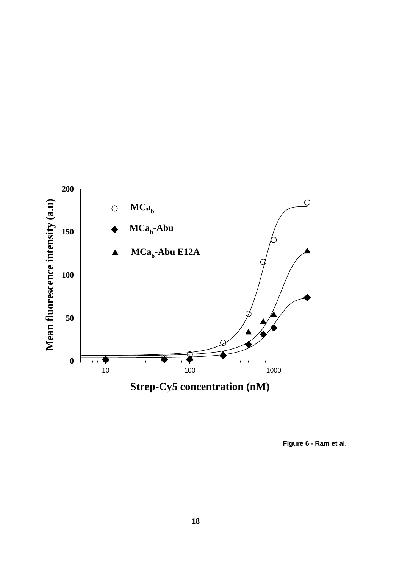

**Figure 6 - Ram et al.**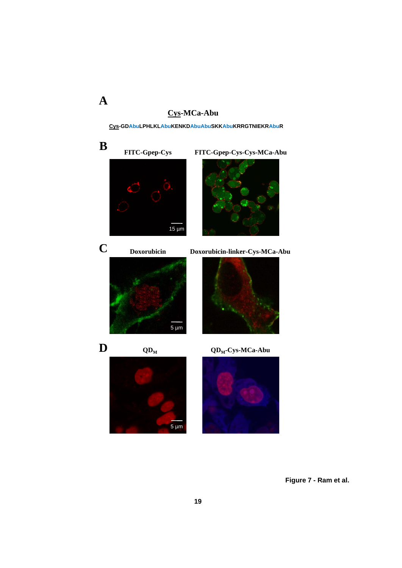### **C MC Ab Cys-MCa-Abu**

**A**

**Cys-GDAbuLPHLKLAbuKENKDAbuAbuSKKAbuKRRGTNIEKRAbuR**



**Figure 7 - Ram et al.**